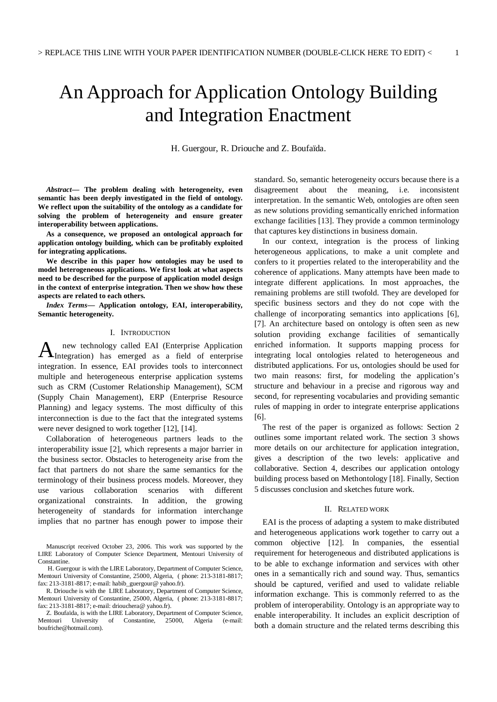# An Approach for Application Ontology Building and Integration Enactment

H. Guergour, R. Driouche and Z. Boufaïda.

*Abstract***— The problem dealing with heterogeneity, even semantic has been deeply investigated in the field of ontology. We reflect upon the suitability of the ontology as a candidate for solving the problem of heterogeneity and ensure greater interoperability between applications.**

**As a consequence, we proposed an ontological approach for application ontology building, which can be profitably exploited for integrating applications.**

**We describe in this paper how ontologies may be used to model heterogeneous applications. We first look at what aspects need to be described for the purpose of application model design in the context of enterprise integration. Then we show how these aspects are related to each others.**

*Index Terms***— Application ontology, EAI, interoperability, Semantic heterogeneity.**

#### I. INTRODUCTION

new technology called EAI (Enterprise Application A new technology called EAI (Enterprise Application) has emerged as a field of enterprise integration. In essence, EAI provides tools to interconnect multiple and heterogeneous enterprise application systems such as CRM (Customer Relationship Management), SCM (Supply Chain Management), ERP (Enterprise Resource Planning) and legacy systems. The most difficulty of this interconnection is due to the fact that the integrated systems were never designed to work together [12], [14].

Collaboration of heterogeneous partners leads to the interoperability issue [2], which represents a major barrier in the business sector. Obstacles to heterogeneity arise from the fact that partners do not share the same semantics for the terminology of their business process models. Moreover, they use various collaboration scenarios with different organizational constraints. In addition, the growing heterogeneity of standards for information interchange implies that no partner has enough power to impose their standard. So, semantic heterogeneity occurs because there is a disagreement about the meaning, i.e. inconsistent interpretation. In the semantic Web, ontologies are often seen as new solutions providing semantically enriched information exchange facilities [13]. They provide a common terminology that captures key distinctions in business domain.

In our context, integration is the process of linking heterogeneous applications, to make a unit complete and confers to it properties related to the interoperability and the coherence of applications. Many attempts have been made to integrate different applications. In most approaches, the remaining problems are still twofold. They are developed for specific business sectors and they do not cope with the challenge of incorporating semantics into applications [6], [7]. An architecture based on ontology is often seen as new solution providing exchange facilities of semantically enriched information. It supports mapping process for integrating local ontologies related to heterogeneous and distributed applications. For us, ontologies should be used for two main reasons: first, for modeling the application's structure and behaviour in a precise and rigorous way and second, for representing vocabularies and providing semantic rules of mapping in order to integrate enterprise applications [6].

The rest of the paper is organized as follows: Section 2 outlines some important related work. The section 3 shows more details on our architecture for application integration, gives a description of the two levels: applicative and collaborative. Section 4, describes our application ontology building process based on Methontology [18]. Finally, Section 5 discusses conclusion and sketches future work.

#### II. RELATED WORK

EAI is the process of adapting a system to make distributed and heterogeneous applications work together to carry out a common objective [12]. In companies, the essential requirement for heterogeneous and distributed applications is to be able to exchange information and services with other ones in a semantically rich and sound way. Thus, semantics should be captured, verified and used to validate reliable information exchange. This is commonly referred to as the problem of interoperability. Ontology is an appropriate way to enable interoperability. It includes an explicit description of both a domain structure and the related terms describing this

Manuscript received October 23, 2006. This work was supported by the LIRE Laboratory of Computer Science Department, Mentouri University of Constantine.

H. Guergour is with the LIRE Laboratory, Department of Computer Science, Mentouri University of Constantine, 25000, Algeria, ( phone: 213-3181-8817; fax: 213-3181-8817; e-mail: habib\_guergour@ yahoo.fr).

R. Driouche is with the LIRE Laboratory, Department of Computer Science, Mentouri University of Constantine, 25000, Algeria, ( phone: 213-3181-8817; fax: 213-3181-8817; e-mail: driouchera@ yahoo.fr).

Z. Boufaïda, is with the LIRE Laboratory, Department of Computer Science, Mentouri University of Constantine, 25000, Algeria (e-mail: boufriche@hotmail.com).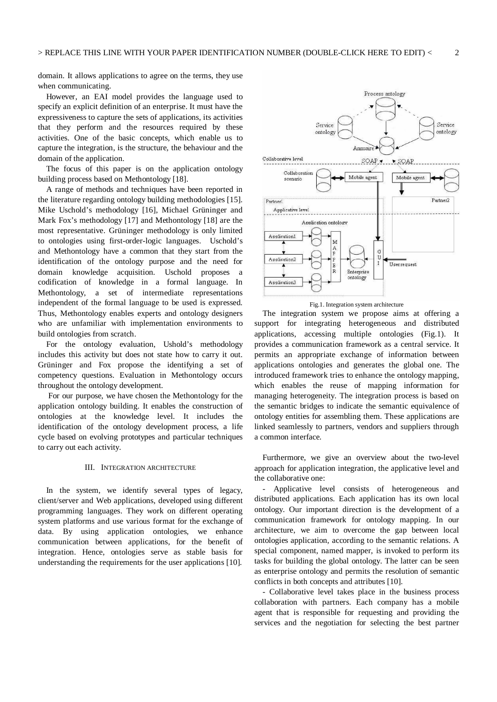domain. It allows applications to agree on the terms, they use when communicating.

However, an EAI model provides the language used to specify an explicit definition of an enterprise. It must have the expressiveness to capture the sets of applications, its activities that they perform and the resources required by these activities. One of the basic concepts, which enable us to capture the integration, is the structure, the behaviour and the domain of the application.

The focus of this paper is on the application ontology building process based on Methontology [18].

A range of methods and techniques have been reported in the literature regarding ontology building methodologies [15]. Mike Uschold's methodology [16], Michael Grüninger and Mark Fox's methodology [17] and Methontology [18] are the most representative. Grüninger methodology is only limited to ontologies using first-order-logic languages. Uschold's and Methontology have a common that they start from the identification of the ontology purpose and the need for domain knowledge acquisition. Uschold proposes a codification of knowledge in a formal language. In Methontology, a set of intermediate representations independent of the formal language to be used is expressed. Thus, Methontology enables experts and ontology designers who are unfamiliar with implementation environments to build ontologies from scratch.

For the ontology evaluation, Ushold's methodology includes this activity but does not state how to carry it out. Grüninger and Fox propose the identifying a set of competency questions. Evaluation in Methontology occurs throughout the ontology development.

 For our purpose, we have chosen the Methontology for the application ontology building. It enables the construction of ontologies at the knowledge level. It includes the identification of the ontology development process, a life cycle based on evolving prototypes and particular techniques to carry out each activity.

#### III. INTEGRATION ARCHITECTURE

In the system, we identify several types of legacy, client/server and Web applications, developed using different programming languages. They work on different operating system platforms and use various format for the exchange of data. By using application ontologies, we enhance communication between applications, for the benefit of integration. Hence, ontologies serve as stable basis for understanding the requirements for the user applications [10].





The integration system we propose aims at offering a support for integrating heterogeneous and distributed applications, accessing multiple ontologies (Fig.1). It provides a communication framework as a central service. It permits an appropriate exchange of information between applications ontologies and generates the global one. The introduced framework tries to enhance the ontology mapping, which enables the reuse of mapping information for managing heterogeneity. The integration process is based on the semantic bridges to indicate the semantic equivalence of ontology entities for assembling them. These applications are linked seamlessly to partners, vendors and suppliers through a common interface.

Furthermore, we give an overview about the two-level approach for application integration, the applicative level and the collaborative one:

- Applicative level consists of heterogeneous and distributed applications. Each application has its own local ontology. Our important direction is the development of a communication framework for ontology mapping. In our architecture, we aim to overcome the gap between local ontologies application, according to the semantic relations. A special component, named mapper, is invoked to perform its tasks for building the global ontology. The latter can be seen as enterprise ontology and permits the resolution of semantic conflicts in both concepts and attributes [10].

- Collaborative level takes place in the business process collaboration with partners. Each company has a mobile agent that is responsible for requesting and providing the services and the negotiation for selecting the best partner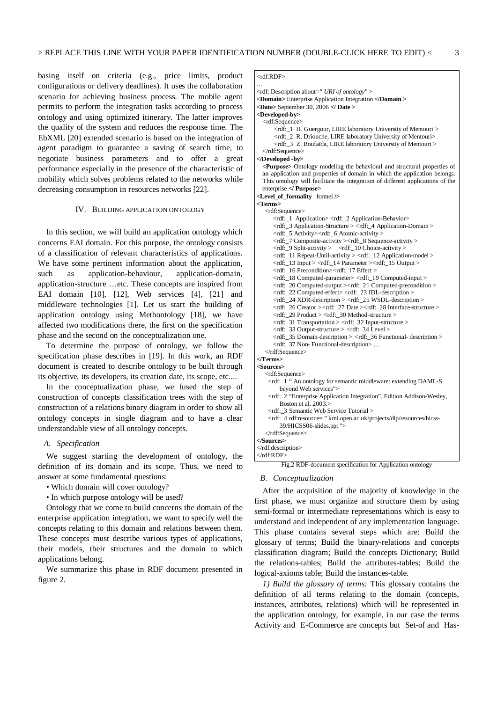basing itself on criteria (e.g., price limits, product configurations or delivery deadlines). It uses the collaboration scenario for achieving business process. The mobile agent permits to perform the integration tasks according to process ontology and using optimized itinerary. The latter improves the quality of the system and reduces the response time. The EbXML [20] extended scenario is based on the integration of agent paradigm to guarantee a saving of search time, to negotiate business parameters and to offer a great performance especially in the presence of the characteristic of mobility which solves problems related to the networks while decreasing consumption in resources networks [22].

#### IV. BUILDING APPLICATION ONTOLOGY

In this section, we will build an application ontology which concerns EAI domain. For this purpose, the ontology consists of a classification of relevant characteristics of applications. We have some pertinent information about the application, such as application-behaviour, application-domain, application-structure …etc. These concepts are inspired from EAI domain [10], [12], Web services [4], [21] and middleware technologies [1]. Let us start the building of application ontology using Methontology [18], we have affected two modifications there, the first on the specification phase and the second on the conceptualization one.

To determine the purpose of ontology, we follow the specification phase describes in [19]. In this work, an RDF document is created to describe ontology to be built through its objective, its developers, its creation date, its scope, etc....

In the conceptualization phase, we fused the step of construction of concepts classification trees with the step of construction of a relations binary diagram in order to show all ontology concepts in single diagram and to have a clear understandable view of all ontology concepts.

#### *A. Specification*

We suggest starting the development of ontology, the definition of its domain and its scope. Thus, we need to answer at some fundamental questions:

- Which domain will cover ontology?
- In which purpose ontology will be used?

Ontology that we come to build concerns the domain of the enterprise application integration, we want to specify well the concepts relating to this domain and relations between them. These concepts must describe various types of applications, their models, their structures and the domain to which applications belong.

We summarize this phase in RDF document presented in figure 2.

# <rdf:RDF>

```
…
<rdf: Description about=" URI of ontology" >
<Domain> Enterprise Application Integration </Domain >
<Date> September 30, 2006 </ Date >
<Developed-by>
  <rdf:Sequence>
      <rdf:_1 H. Guergour, LIRE laboratory University of Mentouri >
      <rdf:_2 R. Driouche, LIRE laboratory University of Mentouri>
      <rdf:_3 Z. Boufaïda, LIRE laboratory University of Mentouri >
  </rdf:Sequence>
</Developed -by>
  <Purpose> Ontology modeling the behavioral and structural properties of
  an application and properties of domain in which the application belongs.
 This ontology will facilitate the integration of different applications of the
 enterprise </ Purpose>
<Level_of_formality formel />
<Terms>
   <rdf:Sequence>
      <rdf:_1 Application> <rdf:_2 Application-Behavior>
       <rdf:_3 Application-Structure > <rdf:_4 Application-Domain >
       <rdf:_5 Activity><rdf:_6 Atomic-activity >
       <rdf:_7 Composite-activity ><rdf:_8 Sequence-activity >
      <rdf:_9 Split-activity > <rdf:_10 Choice-activity >
       <rdf:_11 Repeat-Until-activity > <rdf:_12 Application-model >
       <rdf:_13 Input > <rdf:_14 Parameter ><rdf:_15 Output >
       <rdf:_16 Precondition><rdf:_17 Effect >
      <rdf:_18 Computed-parameter> <rdf:_19 Computed-input >
       <rdf:_20 Computed-output ><rdf:_21 Computed-precondition >
      <rdf:_22 Computed-effect> <rdf:_23 IDL-description >
      \langle \text{erdf} \rangle 24 XDR-description > \langle \text{erdf} \rangle 25 WSDL-description >\leftarrowrdf: 26 Creator \leftarrowrdf: 27 Date \leftarrowrdf: 28 Interface-structure > <rdf:_29 Product > <rdf:_30 Method-structure >
       <rdf:_31 Transportation > <rdf:_32 Input-structure >
      \langle \text{rdf:}\_33 \text{ Output-structure} > \langle \text{rdf:}\_34 \text{ Level} > <rdf:_35 Domain-description > <rdf:_36 Functional- description >
       <rdf:_37 Non- Functional-description> …
   </rdf:Sequence>
</Terms>
<Sources>
   <rdf:Sequence>
    <rdf:_1 " An ontology for semantic middleware: extending DAML-S
        beyond Web services">
    <rdf:_2 "Enterprise Application Integration". Edition Addison-Wesley,
        Boston et al. 2003.>
    <rdf:_3 Semantic Web Service Tutorial >
    <rdf:_4 rdf:resource= " kmi.open.ac.uk/projects/dip/resources/hicss-
        39/HICSS06-slides.ppt ">
   </rdf:Sequence>
</Sources>
</rdf:description>
</rdf:RDF>
```
Fig.2 RDF-document specification for Application ontology

#### *B. Conceptualization*

After the acquisition of the majority of knowledge in the first phase, we must organize and structure them by using semi-formal or intermediate representations which is easy to understand and independent of any implementation language. This phase contains several steps which are: Build the glossary of terms; Build the binary-relations and concepts classification diagram; Build the concepts Dictionary; Build the relations-tables; Build the attributes-tables; Build the logical-axioms table; Build the instances-table.

*1) Build the glossary of terms:* This glossary contains the definition of all terms relating to the domain (concepts, instances, attributes, relations) which will be represented in the application ontology, for example, in our case the terms Activity and E-Commerce are concepts but Set-of and Has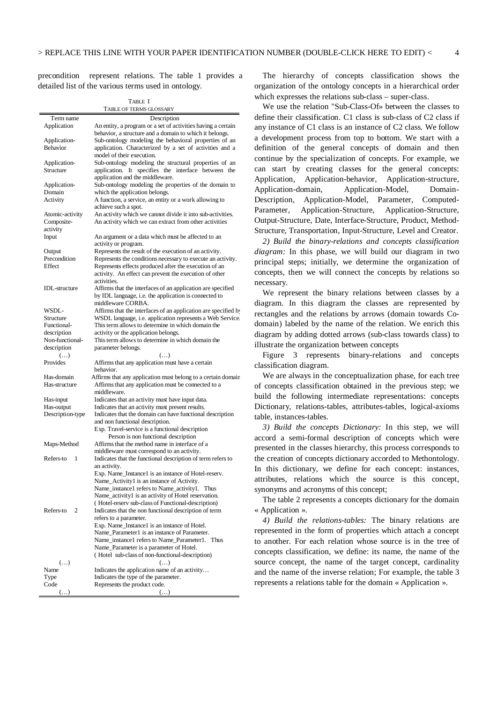precondition represent relations. The table 1 provides a detailed list of the various terms used in ontology.

TABLE I

|                        | TABLE OF TERMS GLOSSARY                                                                      |
|------------------------|----------------------------------------------------------------------------------------------|
| Term name              | Description                                                                                  |
| Application            | An entity, a program or a set of activities having a certain                                 |
|                        | behavior, a structure and a domain to which it belongs.                                      |
| Application-           | Sub-ontology modeling the behavioral properties of an                                        |
| Behavior               | application. Characterized by a set of activities and a                                      |
|                        | model of their execution.                                                                    |
| Application-           | Sub-ontology modeling the structural properties of an                                        |
| Structure              | application. It specifies the interface between the                                          |
|                        | application and the middleware.                                                              |
| Application-<br>Domain | Sub-ontology modeling the properties of the domain to                                        |
| Activity               | which the application belongs.<br>A function, a service, an entity or a work allowing to     |
|                        | achieve such a spot.                                                                         |
| Atomic-activity        | An activity which we cannot divide it into sub-activities.                                   |
| Composite-             | An activity which we can extract from other activities                                       |
| activity               |                                                                                              |
| Input                  | An argument or a data which must be affected to an                                           |
|                        | activity or program.                                                                         |
| Output                 | Represents the result of the execution of an activity.                                       |
| Precondition           | Represents the conditions necessary to execute an activity.                                  |
| <b>Effect</b>          | Represents effects produced after the execution of an                                        |
|                        | activity. An effect can prevent the execution of other                                       |
|                        | activities.                                                                                  |
| <b>IDL</b> -structure  | Affirms that the interfaces of an application are specified                                  |
|                        | by IDL language, i.e. the application is connected to<br>middleware CORBA.                   |
| WSDL-                  | Affirms that the interfaces of an application are specified by                               |
| Structure              | WSDL language, i.e. application represents a Web Service.                                    |
| Functional-            | This term allows to determine in which domain the                                            |
| description            | activity or the application belongs.                                                         |
| Non-functional-        | This term allows to determine in which domain the                                            |
| description            |                                                                                              |
|                        | parameter belongs.                                                                           |
| ()                     | $\left( \ldots \right)$                                                                      |
| Provides               | Affirms that any application must have a certain                                             |
|                        | behavior.                                                                                    |
| Has-domain             | Affirms that any application must belong to a certain domain                                 |
| Has-structure          | Affirms that any application must be connected to a                                          |
|                        | middleware.                                                                                  |
| Has-input              | Indicates that an activity must have input data.                                             |
| Has-output             | Indicates that an activity must present results.                                             |
| Description-type       | Indicates that the domain can have functional description                                    |
|                        | and non functional description.                                                              |
|                        | Exp. Travel-service is a functional description<br>Person is non functional description      |
|                        | Affirms that the method name in interface of a                                               |
| Maps-Method            | middleware must correspond to an activity.                                                   |
| Refers-to<br>1         | Indicates that the functional description of term refers to                                  |
|                        | an activity.                                                                                 |
|                        | Exp. Name_Instance1 is an instance of Hotel-reserv.                                          |
|                        | Name_Activity1 is an instance of Activity.                                                   |
|                        | Name_instance1 refers to Name_activity1. Thus                                                |
|                        | Name_activity1 is an activity of Hotel reservation.                                          |
|                        | (Hotel-reserv sub-class of Functional-description)                                           |
| Refers-to<br>2         | Indicates that the non functional description of term                                        |
|                        | refers to a parameter.                                                                       |
|                        | Exp. Name_Instance1 is an instance of Hotel.<br>Name_Parameter1 is an instance of Parameter. |
|                        | Name instance1 refers to Name Parameter1. Thus                                               |
|                        | Name_Parameter is a parameter of Hotel.                                                      |
|                        | (Hotel sub-class of non-functional-description)                                              |
| $(\ldots)$             | ()                                                                                           |
| Name                   | Indicates the application name of an activity                                                |
| Type                   | Indicates the type of the parameter.                                                         |
| Code<br>$(\ldots)$     | Represents the product code.<br>$\left( \ldots \right)$                                      |

The hierarchy of concepts classification shows the organization of the ontology concepts in a hierarchical order which expresses the relations sub-class – super-class.

We use the relation "Sub-Class-Of» between the classes to define their classification. C1 class is sub-class of C2 class if any instance of C1 class is an instance of C2 class. We follow a development process from top to bottom. We start with a definition of the general concepts of domain and then continue by the specialization of concepts. For example, we can start by creating classes for the general concepts: Application, Application-behavior, Application-structure, Application-domain, Application-Model, Domain-Description, Application-Model, Parameter, Computed-Parameter, Application-Structure, Application-Structure, Output-Structure, Date, Interface-Structure, Product, Method-Structure, Transportation, Input-Structure, Level and Creator.

*2) Build the binary-relations and concepts classification diagram:* In this phase, we will build our diagram in two principal steps; initially, we determine the organization of concepts, then we will connect the concepts by relations so necessary.

We represent the binary relations between classes by a diagram. In this diagram the classes are represented by rectangles and the relations by arrows (domain towards Codomain) labeled by the name of the relation. We enrich this diagram by adding dotted arrows (sub-class towards class) to illustrate the organization between concepts

Figure 3 represents binary-relations and concepts classification diagram.

We are always in the conceptualization phase, for each tree of concepts classification obtained in the previous step; we build the following intermediate representations: concepts Dictionary, relations-tables, attributes-tables, logical-axioms table, instances-tables.

*3) Build the concepts Dictionary:* In this step, we will accord a semi-formal description of concepts which were presented in the classes hierarchy, this process corresponds to the creation of concepts dictionary accorded to Methontology. In this dictionary, we define for each concept: instances, attributes, relations which the source is this concept, synonyms and acronyms of this concept;

The table 2 represents a concepts dictionary for the domain « Application ».

*4) Build the relations-tables:* The binary relations are represented in the form of properties which attach a concept to another. For each relation whose source is in the tree of concepts classification, we define: its name, the name of the source concept, the name of the target concept, cardinality and the name of the inverse relation; For example, the table 3 represents a relations table for the domain « Application ».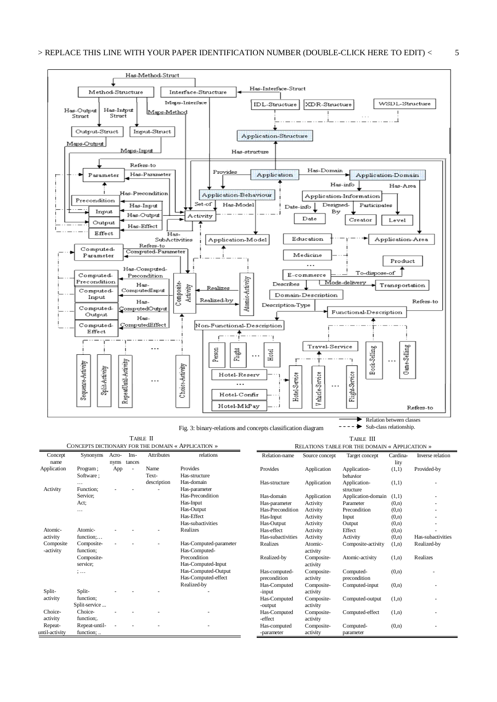

Fig. 3: binary-relations and concepts classification diagram

TABLE II

TABLE III

|                        |                            |               |                |                   | CONCEPTS DICTIONARY FOR THE DOMAIN « APPLICATION » |                               |                        | RELATIONS TABLE FOR THE DOMAIN « APPLICATION » |                  |                   |
|------------------------|----------------------------|---------------|----------------|-------------------|----------------------------------------------------|-------------------------------|------------------------|------------------------------------------------|------------------|-------------------|
| Concept<br>name        | Synonyms                   | Acro-<br>nyms | Ins-<br>tances | <b>Attributes</b> | relations                                          | Relation-name                 | Source concept         | Target concept                                 | Cardina-<br>lity | Inverse relation  |
| Application            | Program;<br>Software;      | App           | ÷,             | Name<br>Text-     | Provides<br>Has-structure                          | Provides                      | Application            | Application-<br>behavior                       | (1,1)            | Provided-by       |
| Activity               | .<br>Function;             |               |                | description       | Has-domain<br>Has-parameter                        | Has-structure                 | Application            | Application-<br>structure                      | (1,1)            |                   |
|                        | Service:                   |               |                |                   | Has-Precondition                                   | Has-domain                    | Application            | Application-domain                             | (1,1)            |                   |
|                        | Act:                       |               |                |                   | Has-Input                                          | Has-parameter                 | Activity               | Parameter                                      | (0,n)            |                   |
|                        | .                          |               |                |                   | Has-Output                                         | Has-Precondition              | Activity               | Precondition                                   | (0,n)            |                   |
|                        |                            |               |                |                   | Has-Effect                                         | Has-Input                     | Activity               | Input                                          | (0,n)            |                   |
|                        |                            |               |                |                   | Has-subactivities                                  | Has-Output                    | Activity               | Output                                         | (0,n)            |                   |
| Atomic-                | Atomic-                    |               |                |                   | Realizes                                           | Has-effect                    | Activity               | Effect                                         | (0,n)            |                   |
| activity               | function;                  |               |                |                   |                                                    | Has-subactivities             | Activity               | Activity                                       | (0,n)            | Has-subactivities |
| Composite<br>-activity | Composite-<br>function;    |               |                |                   | Has-Computed-parameter<br>Has-Computed-            | Realizes                      | Atomic-<br>activity    | Composite-activity                             | (1,n)            | Realized-by       |
|                        | Composite-<br>service;     |               |                |                   | Precondition<br>Has-Computed-Input                 | Realized-by                   | Composite-<br>activity | Atomic-activity                                | (1,n)            | Realizes          |
|                        | $\vdots$                   |               |                |                   | Has-Computed-Output<br>Has-Computed-effect         | Has-computed-<br>precondition | Composite-<br>activity | Computed-<br>precondition                      | (0,n)            |                   |
|                        |                            |               |                |                   | Realized-by                                        | Has-Computed                  | Composite-             | Computed-input                                 | (0,n)            |                   |
| Split-                 | Split-                     |               |                |                   |                                                    | -input                        | activity               |                                                |                  |                   |
| activity               | function;<br>Split-service |               |                |                   |                                                    | Has-Computed<br>-output       | Composite-<br>activity | Computed-output                                | (1,n)            |                   |
| Choice-                | Choice-                    |               |                |                   |                                                    | Has-Computed                  | Composite-             | Computed-effect                                | (1,n)            |                   |
| activity               | function:.                 |               |                |                   |                                                    | -effect                       | activity               |                                                |                  |                   |
| Repeat-                | Repeat-until-              |               |                |                   |                                                    | Has-computed                  | Composite-             | Computed-                                      | (0,n)            |                   |
| until-activity         | function;                  |               |                |                   |                                                    | -parameter                    | activity               | parameter                                      |                  |                   |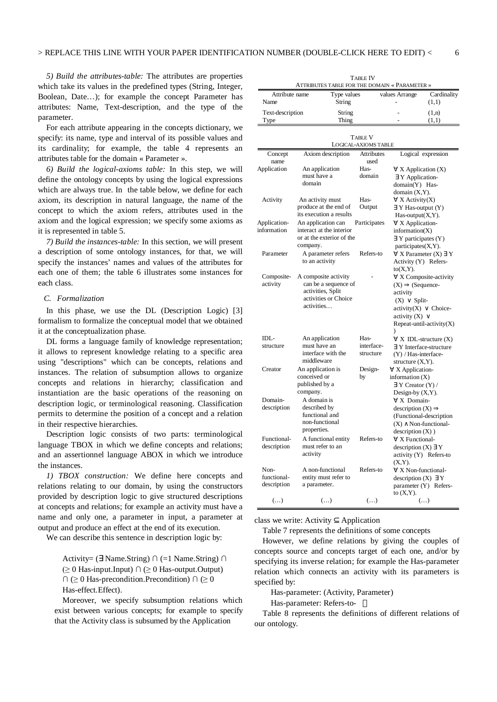*5) Build the attributes-table:* The attributes are properties which take its values in the predefined types (String, Integer, Boolean, Date…); for example the concept Parameter has attributes: Name, Text-description, and the type of the parameter.

For each attribute appearing in the concepts dictionary, we specify: its name, type and interval of its possible values and its cardinality; for example, the table 4 represents an attributes table for the domain « Parameter ».

*6) Build the logical-axioms table:* In this step, we will define the ontology concepts by using the logical expressions which are always true. In the table below, we define for each axiom, its description in natural language, the name of the concept to which the axiom refers, attributes used in the axiom and the logical expression; we specify some axioms as it is represented in table 5.

*7) Build the instances-table:* In this section, we will present a description of some ontology instances, for that, we will specify the instances' names and values of the attributes for each one of them; the table 6 illustrates some instances for each class.

# *C. Formalization*

In this phase, we use the DL (Description Logic) [3] formalism to formalize the conceptual model that we obtained it at the conceptualization phase.

DL forms a language family of knowledge representation; it allows to represent knowledge relating to a specific area using "descriptions" which can be concepts, relations and instances. The relation of subsumption allows to organize concepts and relations in hierarchy; classification and instantiation are the basic operations of the reasoning on description logic, or terminological reasoning. Classification permits to determine the position of a concept and a relation in their respective hierarchies.

Description logic consists of two parts: terminological language TBOX in which we define concepts and relations; and an assertionnel language ABOX in which we introduce the instances.

*1) TBOX construction:* We define here concepts and relations relating to our domain, by using the constructors provided by description logic to give structured descriptions at concepts and relations; for example an activity must have a name and only one, a parameter in input, a parameter at output and produce an effect at the end of its execution.

We can describe this sentence in description logic by:

Activity= ( $\exists$  Name.String)  $\cap$  (=1 Name.String)  $\cap$  $($   $\geq 0$  Has-input.Input)  $\cap$  ( $\geq 0$  Has-output.Output)  $\cap$  ( $\geq 0$  Has-precondition. Precondition)  $\cap$  ( $\geq 0$ Has-effect.Effect).

Moreover, we specify subsumption relations which exist between various concepts; for example to specify that the Activity class is subsumed by the Application

|                                    | ATTRIBUTES TABLE FOR THE DOMAIN « FARAMETER »                                                           |                                        |                                                                                                                                                      |                                                               |
|------------------------------------|---------------------------------------------------------------------------------------------------------|----------------------------------------|------------------------------------------------------------------------------------------------------------------------------------------------------|---------------------------------------------------------------|
| Attribute name<br>Name             | Type values<br>String                                                                                   |                                        | values Arrange                                                                                                                                       | Cardinality<br>(1,1)                                          |
| Text-description<br>Type           | String<br>Thing                                                                                         |                                        |                                                                                                                                                      | (1, n)<br>(1,1)                                               |
|                                    |                                                                                                         |                                        |                                                                                                                                                      |                                                               |
|                                    |                                                                                                         | <b>TABLE V</b><br>LOGICAL-AXIOMS TABLE |                                                                                                                                                      |                                                               |
| Concept                            | Axiom description                                                                                       | Attributes                             |                                                                                                                                                      | Logical expression                                            |
| name                               |                                                                                                         | used                                   |                                                                                                                                                      |                                                               |
| Application                        | An application<br>must have a<br>domain                                                                 | Has-<br>domain                         | $\forall$ X Application (X)<br>∃ Y Application-<br>domain(Y) Has-                                                                                    |                                                               |
| Activity                           | An activity must<br>produce at the end of                                                               | Has-<br>Output                         | domain $(X, Y)$ .<br>$\forall$ X Activity(X)<br>$\exists$ Y Has-output $(Y)$                                                                         |                                                               |
|                                    | its execution a results                                                                                 |                                        | $Has$ -output $(X, Y)$ .                                                                                                                             |                                                               |
| Application-<br>information        | An application can<br>interact at the interior<br>or at the exterior of the<br>company.                 | Participates                           | ∀ X Application-<br>information(X)<br>$\exists$ Y participates (Y)<br>participates(X,Y).                                                             |                                                               |
| Parameter                          | A parameter refers<br>to an activity                                                                    | Refers-to                              | Activity (Y) Refers-<br>$to(X,Y)$ .                                                                                                                  | $\forall$ X Parameter (X) $\exists$ Y                         |
| Composite-<br>activity             | A composite activity<br>can be a sequence of<br>activities, Split<br>activities or Choice<br>activities |                                        | $(X) \Rightarrow$ (Sequence-<br>activity<br>$(X) \vee$ Split-<br>$\text{activity}(X) \vee \text{Choice}$ -<br>activity $(X)$ $\vee$<br>$\mathcal{E}$ | $\forall$ X Composite-activity<br>Repeat-until-activity $(X)$ |
| IDL-<br>structure                  | An application<br>must have an<br>interface with the<br>middleware                                      | Has-<br>interface-<br>structure        | (Y) / Has-interface-<br>structure $(X, Y)$ .                                                                                                         | $\forall$ X IDL-structure (X)<br>∃ Y Interface-structure      |
| Creator                            | An application is<br>conceived or<br>published by a<br>company.                                         | Design-<br>by                          | $\forall$ X Application-<br>information $(X)$<br>$\exists$ Y Creator (Y) /<br>Design-by $(X, Y)$ .                                                   |                                                               |
| Domain-<br>description             | A domain is<br>described by<br>functional and<br>non-functional<br>properties.                          |                                        | $\forall$ X Domain-<br>description $(X) \Rightarrow$<br>$(X) \wedge$ Non-functional-<br>$\text{description}(X)$ )                                    | (Functional-description                                       |
| Functional-<br>description         | A functional entity<br>must refer to an<br>activity                                                     | Refers-to                              | $\forall$ X Functional-<br>description $(X) \exists Y$<br>activity (Y) Refers-to<br>$(X,Y)$ .                                                        |                                                               |
| Non-<br>functional-<br>description | A non-functional<br>entity must refer to<br>a parameter.                                                | Refers-to                              | $\forall$ X Non-functional-<br>description $(X) \exists Y$<br>to $(X,Y)$ .                                                                           | parameter (Y) Refers-                                         |
| $(\ldots)$                         | $\left( \ldots \right)$                                                                                 | $(\ldots)$                             |                                                                                                                                                      | ()                                                            |

TABLE IV ATTRIBUTES TABLE FOR THE DOMAIN « PARAMETER »

class we write: Activity ⊆ Application

Table 7 represents the definitions of some concepts

However, we define relations by giving the couples of concepts source and concepts target of each one, and/or by specifying its inverse relation; for example the Has-parameter relation which connects an activity with its parameters is specified by:

Has-parameter: (Activity, Parameter)

Has-parameter: Refers-to-

Table 8 represents the definitions of different relations of our ontology.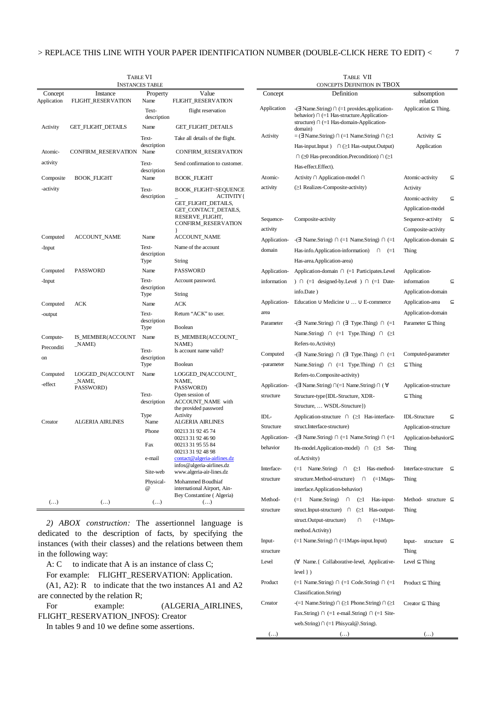| <b>TABLE VI</b><br><b>INSTANCES TABLE</b> |                                |                         |                                                                                                | <b>TABLE VII</b><br>CONCEPTS DEFINITION IN TBOX |                                                                                                                                                               |                                                                 |
|-------------------------------------------|--------------------------------|-------------------------|------------------------------------------------------------------------------------------------|-------------------------------------------------|---------------------------------------------------------------------------------------------------------------------------------------------------------------|-----------------------------------------------------------------|
| Concept<br>Application                    | Instance<br>FLIGHT_RESERVATION | Property<br>Name        | Value<br>FLIGHT_RESERVATION                                                                    | Concept                                         | Definition                                                                                                                                                    | subsomption<br>relation                                         |
|                                           |                                | Text-<br>description    | flight reservation                                                                             | Application                                     | $-\exists$ Name.String) $\cap$ (=1 provides.application-<br>behavior) $\cap$ (=1 Has-structure. Application-<br>structure) $\cap$ (=1 Has-domain-Application- | Application $\subseteq$ Thing.                                  |
| Activity                                  | GET_FLIGHT_DETAILS             | Name                    | GET_FLIGHT_DETAILS                                                                             |                                                 | domain)                                                                                                                                                       |                                                                 |
|                                           |                                | Text-<br>description    | Take all details of the flight.                                                                | Activity                                        | $=$ ( $\exists$ Name.String) $\cap$ ( $=$ 1 Name.String) $\cap$ ( $\geq$ 1                                                                                    | Activity $\subseteq$                                            |
| Atomic-                                   | <b>CONFIRM_RESERVATION</b>     | Name                    | CONFIRM_RESERVATION                                                                            |                                                 | Has-input.Input $)$ $\cap$ $\geq$ 1 Has-output.Output)                                                                                                        | Application                                                     |
| activity                                  |                                | Text-<br>description    | Send confirmation to customer.                                                                 |                                                 | $\cap$ ( $\geq 0$ Has-precondition. Precondition) $\cap$ ( $\geq 1$<br>Has-effect.Effect).                                                                    |                                                                 |
| Composite                                 | <b>BOOK_FLIGHT</b>             | Name                    | <b>BOOK_FLIGHT</b>                                                                             | Atomic-                                         | Activity ∩ Application-model ∩                                                                                                                                | Atomic-activity<br>$\subseteq$                                  |
| -activity                                 |                                | Text-<br>description    | <b>BOOK FLIGHT=SEQUENCE</b><br><b>ACTIVITY{</b><br>GET_FLIGHT_DETAILS,<br>GET_CONTACT_DETAILS, | activity                                        | (≥1 Realizes-Composite-activity)                                                                                                                              | Activity<br>Atomic-activity<br>$\subseteq$<br>Application-model |
|                                           |                                |                         | RESERVE_FLIGHT,<br>CONFIRM_RESERVATION                                                         | Sequence-<br>activity                           | Composite-activity                                                                                                                                            | Sequence-activity $\subseteq$<br>Composite-activity             |
| Computed                                  | ACCOUNT_NAME                   | Name                    | <b>ACCOUNT_NAME</b>                                                                            | Application-                                    | $-\exists$ Name.String) $\cap$ (=1 Name.String) $\cap$ (=1                                                                                                    | Application-domain $\subseteq$                                  |
| -Input                                    |                                | Text-<br>description    | Name of the account                                                                            | domain                                          | Has-info.Application-information) $\cap$ (=1                                                                                                                  | Thing                                                           |
|                                           |                                | Type                    | String                                                                                         |                                                 | Has-area.Application-area)                                                                                                                                    |                                                                 |
| Computed                                  | <b>PASSWORD</b>                | Name                    | <b>PASSWORD</b>                                                                                | Application-                                    | Application-domain $\cap$ (=1 Participates. Level                                                                                                             | Application-                                                    |
| -Input                                    |                                | Text-                   | Account password.                                                                              | information                                     | $) \cap (-1$ designed-by. Level $) \cap (-1$ Date-                                                                                                            | information<br>$\subseteq$                                      |
|                                           |                                | description<br>Type     | String                                                                                         |                                                 | info.Date)                                                                                                                                                    | Application-domain                                              |
| Computed                                  | ACK                            | Name                    | ACK                                                                                            | Application-                                    | Education $\cup$ Medicine $\cup \ldots \cup E$ -commerce                                                                                                      | Application-area<br>$\subseteq$                                 |
| -output                                   |                                | Text-                   | Return "ACK" to user.                                                                          | area                                            |                                                                                                                                                               | Application-domain                                              |
|                                           |                                | description<br>Type     | Boolean                                                                                        | Parameter                                       | $\lnot \exists$ Name.String) $\cap$ $\exists$ Type.Thing) $\cap$ $\lnot \exists$                                                                              | Parameter $\subseteq$ Thing                                     |
| Compute-                                  | IS_MEMBER(ACCOUNT              | Name                    | IS_MEMBER(ACCOUNT_                                                                             |                                                 | Name.String) $\cap$ (=1 Type.Thing) $\cap$ ( $\geq$ 1                                                                                                         |                                                                 |
| Preconditi                                | _NAME)                         |                         | NAME)                                                                                          |                                                 | Refers-to.Activity)                                                                                                                                           |                                                                 |
| on                                        |                                | Text-<br>description    | Is account name valid?                                                                         | Computed                                        | $\lnot \exists$ Name.String) $\cap$ $\exists$ Type.Thing) $\cap$ $\lnot = 1$                                                                                  | Computed-parameter                                              |
|                                           |                                | Type                    | <b>Boolean</b>                                                                                 | -parameter                                      | Name.String) $\cap$ (=1 Type.Thing) $\cap$ ( $\geq$ 1                                                                                                         | $\subseteq$ Thing                                               |
| Computed                                  | LOGGED_IN(ACCOUNT<br>_NAME,    | Name                    | LOGGED_IN(ACCOUNT_<br>NAME,                                                                    |                                                 | Refers-to.Composite-activity)                                                                                                                                 |                                                                 |
| -effect                                   | PASSWORD)                      |                         | PASSWORD)                                                                                      | Application-                                    | - $\exists$ Name.String) ∩(=1 Name.String) ∩ ( $\forall$                                                                                                      | Application-structure                                           |
|                                           |                                | Text-<br>description    | Open session of<br>ACCOUNT_NAME with<br>the provided password                                  | structure                                       | Structure-type {IDL-Structure, XDR-<br>Structure,  WSDL-Structure})                                                                                           | $\subseteq$ Thing                                               |
|                                           |                                | Type                    | Activity                                                                                       | IDL-                                            | Application-structure $\cap$ ( $\geq$ 1 Has-interface-                                                                                                        | <b>IDL-Structure</b><br>$\subseteq$                             |
| Creator                                   | <b>ALGERIA AIRLINES</b>        | Name                    | <b>ALGERIA AIRLINES</b>                                                                        | Structure                                       | struct.Interface-structure)                                                                                                                                   | Application-structure                                           |
|                                           |                                | Phone                   | 00213 31 92 45 74<br>00213 31 92 46 90                                                         | Application-                                    | $-\exists$ Name.String) $\cap$ (=1 Name.String) $\cap$ (=1                                                                                                    | Application-behavior⊆                                           |
|                                           |                                | Fax                     | 00213 31 95 55 84<br>00213 31 92 48 98                                                         | behavior                                        | Hs-model.<br>Application-model) $\cap$ ( $\geq$ 1 Set-                                                                                                        | Thing                                                           |
|                                           |                                | e-mail                  | contact@algeria-airlines.dz<br>infos@algeria-airlines.dz                                       |                                                 | of.Activity)                                                                                                                                                  |                                                                 |
|                                           |                                | Site-web                | www.algeria-air-lines.dz                                                                       | Interface-                                      | $(=1 \text{Name}.String) \cap (\geq 1 \text{Has-method-}$                                                                                                     | Interface-structure $\subseteq$                                 |
|                                           |                                | Physical-               | Mohammed Boudhiaf                                                                              | structure                                       | structure.Method-structure) ∩ (=1Maps-                                                                                                                        | Thing                                                           |
|                                           |                                | $^{\circ}$              | international Airport, Ain-<br>Bey Constantine (Algeria)                                       |                                                 | interface.Application-behavior)                                                                                                                               |                                                                 |
| $(\ldots)$                                | ()                             | $\left( \ldots \right)$ | $\left( \ldots \right)$                                                                        | Method-                                         | $(=1$ Name. String)<br>$\cap$<br>$\subseteq$ 1<br>Has-input-                                                                                                  | Method- structure $\subseteq$                                   |
|                                           |                                |                         |                                                                                                | structure                                       | struct.Input-structure) $\cap$ ( $\geq$ 1 Has-output-<br>$struct$ Output $ctmctum$<br>$\cap$<br>$(-1$ Mane.                                                   | Thing                                                           |

Inputstructure

Product

Creator

*2) ABOX construction:* The assertionnel language is dedicated to the description of facts, by specifying the instances (with their classes) and the relations between them in the following way:

 $A: C$  to indicate that A is an instance of class C;

For example: FLIGHT\_RESERVATION: Application.  $(A1, A2)$ : R to indicate that the two instances A1 and A2 are connected by the relation R;

For example:  $(ALGERIA_AIRLINES,$ FLIGHT\_RESERVATION\_INFOS): Creator

In tables 9 and 10 we define some assertions.

|              | Application- -(= Name.String) + + (= 1 Name.String) + + (= 1                 | Application-domain ⊆               |
|--------------|------------------------------------------------------------------------------|------------------------------------|
| domain       | Has-info.Application-information)<br>Λ<br>$(=1)$                             | Thing                              |
|              | Has-area.Application-area)                                                   |                                    |
| Application- | Application-domain $\cap$ (=1 Participates. Level                            | Application-                       |
| information  | $) \cap (-1$ designed-by. Level $) \cap (-1)$ Date-                          | information<br>$\subseteq$         |
|              | info.Date)                                                                   | Application-domain                 |
| Application- | Education $\cup$ Medicine $\cup \ldots \cup E$ -commerce                     | Application-area<br>$\subseteq$    |
| area         |                                                                              | Application-domain                 |
| Parameter    | $\lnot \exists$ Name.String) $\cap$ $\exists$ Type.Thing) $\cap$ $\lnot = 1$ | Parameter $\subseteq$ Thing        |
|              | Name.String) $\cap$ (=1 Type.Thing) $\cap$ ( $\geq$ 1                        |                                    |
|              | Refers-to.Activity)                                                          |                                    |
| Computed     | $\lnot \exists$ Name.String) $\cap$ $\exists$ Type.Thing) $\cap$ $\lnot = 1$ | Computed-parameter                 |
| -parameter   | Name.String) $\cap$ (=1 Type.Thing) $\cap$ ( $\geq$ 1                        | $\subseteq$ Thing                  |
|              | Refers-to.Composite-activity)                                                |                                    |
| Application- | - $\exists$ Name.String) $\cap$ (=1 Name.String) $\cap$ ( $\forall$          | Application-structure              |
| structure    | Structure-type {IDL-Structure, XDR-                                          | $\subseteq$ Thing                  |
|              | Structure,  WSDL-Structure})                                                 |                                    |
| IDL-         | Application-structure ∩ (≥1 Has-interface-                                   | <b>IDL-Structure</b><br>C          |
| Structure    | struct.Interface-structure)                                                  | Application-structure              |
| Application- | - $\exists$ Name.String) $\cap$ (=1 Name.String) $\cap$ (=1                  | Application-behavior⊆              |
| behavior     | Hs-model.Application-model) $\cap$ ( $\geq 1$ Set-                           | Thing                              |
|              | of.Activity)                                                                 |                                    |
| Interface-   | Name.String) $\cap$ ( $\geq$ 1<br>Has-method-<br>$(=1)$                      | Interface-structure<br>$\subseteq$ |
| structure    | structure.Method-structure)<br>—∩ —<br>$(=\frac{1}{2}Maps -$                 | Thing                              |
|              | interface.Application-behavior)                                              |                                    |
| Method-      | Name.String)<br>$(=1)$<br>Λ<br>Has-input-<br>(≥1                             | Method- structure $\subseteq$      |
| structure    | struct.Input-structure) ∩<br>$\odot$ 1<br>Has-output-                        | Thing                              |
|              | struct.Output-structure)<br>$(=\frac{1}{2}Maps -$<br>n.                      |                                    |
|              | method.Activity)                                                             |                                    |
| Input-       | $(=1$ Name.String) $\cap$ $(=1$ Maps-input.Input)                            | Input-<br>structure<br>$\subseteq$ |
| structure    |                                                                              | Thing                              |
| Level        | (∀ Name.{ Collaborative-level, Applicative-                                  | Level $\subseteq$ Thing            |
|              | $level \}$ )                                                                 |                                    |
| Product      | $(=1 \text{ Name}.String) \cap (=1 \text{ Code}.String) \cap (=1$            | Product $\subseteq$ Thing          |
|              | Classification.String)                                                       |                                    |
| Creator      | $- (= 1$ Name.String) $\cap$ ( $\geq 1$ Phone.String) $\cap$ ( $\geq 1$      | Creator $\subseteq$ Thing          |
|              | Fax.String) $\cap$ (=1 e-mail.String) $\cap$ (=1 Site-                       |                                    |

web.String)  $\cap$  (=1 Phisycal@.String).

(…) (…) (…)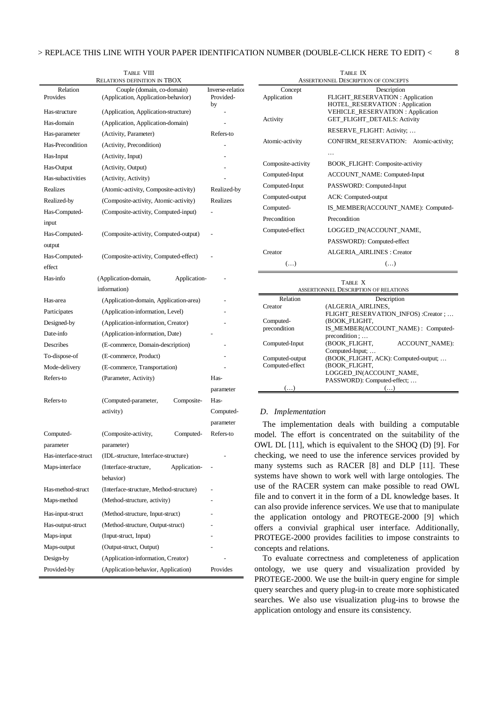|                      | TABLE VIII                                                        |                  |
|----------------------|-------------------------------------------------------------------|------------------|
| Relation             | <b>RELATIONS DEFINITION IN TBOX</b><br>Couple (domain, co-domain) | Inverse-relation |
| Provides             | (Application, Application-behavior)                               | Provided-<br>by  |
| Has-structure        | (Application, Application-structure)                              |                  |
| Has-domain           | (Application, Application-domain)                                 |                  |
| Has-parameter        | (Activity, Parameter)                                             | Refers-to        |
| Has-Precondition     | (Activity, Precondition)                                          |                  |
| Has-Input            | (Activity, Input)                                                 |                  |
| Has-Output           | (Activity, Output)                                                |                  |
| Has-subactivities    | (Activity, Activity)                                              |                  |
| Realizes             | (Atomic-activity, Composite-activity)                             | Realized-by      |
| Realized-by          | (Composite-activity, Atomic-activity)                             | <b>Realizes</b>  |
| Has-Computed-        | (Composite-activity, Computed-input)                              |                  |
| input                |                                                                   |                  |
| Has-Computed-        | (Composite-activity, Computed-output)                             |                  |
| output               |                                                                   |                  |
| Has-Computed-        | (Composite-activity, Computed-effect)                             |                  |
| effect               |                                                                   |                  |
| Has-info             | (Application-domain,<br>Application-                              |                  |
|                      | information)                                                      |                  |
| Has-area             | (Application-domain, Application-area)                            |                  |
| Participates         | (Application-information, Level)                                  |                  |
| Designed-by          | (Application-information, Creator)                                |                  |
| Date-info            | (Application-information, Date)                                   |                  |
| Describes            | (E-commerce, Domain-description)                                  |                  |
| To-dispose-of        | (E-commerce, Product)                                             |                  |
| Mode-delivery        | (E-commerce, Transportation)                                      |                  |
| Refers-to            | (Parameter, Activity)                                             | Has-             |
|                      |                                                                   | parameter        |
| Refers-to            | (Computed-parameter,<br>Composite-                                | Has-             |
|                      | activity)                                                         | Computed-        |
|                      |                                                                   | parameter        |
| Computed-            | (Composite-activity,<br>Computed-                                 | Refers-to        |
| parameter            | parameter)                                                        |                  |
| Has-interface-struct | (IDL-structure, Interface-structure)                              |                  |
| Maps-interface       | (Interface-structure,<br>Application-                             |                  |
|                      | behavior)                                                         |                  |
| Has-method-struct    | (Interface-structure, Method-structure)                           |                  |
| Maps-method          | (Method-structure, activity)                                      |                  |
|                      |                                                                   |                  |
| Has-input-struct     | (Method-structure, Input-struct)                                  |                  |
| Has-output-struct    | (Method-structure, Output-struct)                                 |                  |
| Maps-input           | (Input-struct, Input)                                             |                  |
| Maps-output          | (Output-struct, Output)                                           |                  |
| Design-by            | (Application-information, Creator)                                |                  |
| Provided-by          | (Application-behavior, Application)                               | Provides         |

|                    | TABLE IX                                                                  |  |  |  |
|--------------------|---------------------------------------------------------------------------|--|--|--|
|                    | <b>ASSERTIONNEL DESCRIPTION OF CONCEPTS</b>                               |  |  |  |
| Concept            | Description                                                               |  |  |  |
| Application        | FLIGHT_RESERVATION: Application                                           |  |  |  |
|                    | HOTEL_RESERVATION: Application<br><b>VEHICLE_RESERVATION: Application</b> |  |  |  |
| Activity           | GET_FLIGHT_DETAILS: Activity                                              |  |  |  |
|                    | RESERVE_FLIGHT: Activity;                                                 |  |  |  |
| Atomic-activity    | CONFIRM_RESERVATION: Atomic-activity;                                     |  |  |  |
|                    |                                                                           |  |  |  |
| Composite-activity | BOOK_FLIGHT: Composite-activity                                           |  |  |  |
| Computed-Input     | ACCOUNT_NAME: Computed-Input                                              |  |  |  |
| Computed-Input     | PASSWORD: Computed-Input                                                  |  |  |  |
| Computed-output    | ACK: Computed-output                                                      |  |  |  |
| Computed-          | IS_MEMBER(ACCOUNT_NAME): Computed-                                        |  |  |  |
| Precondition       | Precondition                                                              |  |  |  |
| Computed-effect    | LOGGED_IN(ACCOUNT_NAME,                                                   |  |  |  |
|                    | PASSWORD): Computed-effect                                                |  |  |  |
| Creator            | <b>ALGERIA AIRLINES: Creator</b>                                          |  |  |  |
| $(\ldots)$         | $(\ldots)$                                                                |  |  |  |
|                    | T <sub>i</sub> n <sub>r</sub> V                                           |  |  |  |

| TABLE X                               |                                       |  |  |
|---------------------------------------|---------------------------------------|--|--|
| ASSERTIONNEL DESCRIPTION OF RELATIONS |                                       |  |  |
| Relation                              | Description                           |  |  |
| Creator                               | (ALGERIA AIRLINES,                    |  |  |
|                                       | FLIGHT_RESERVATION_INFOS) :Creator ;  |  |  |
| Computed-                             | (BOOK FLIGHT,                         |  |  |
| precondition                          | IS MEMBER(ACCOUNT NAME): Computed-    |  |  |
|                                       | precondition :                        |  |  |
| Computed-Input                        | (BOOK FLIGHT,<br><b>ACCOUNT NAME:</b> |  |  |
|                                       | Computed-Input;                       |  |  |
| Computed-output                       | (BOOK_FLIGHT, ACK): Computed-output;  |  |  |
| Computed-effect                       | (BOOK FLIGHT,                         |  |  |
|                                       | LOGGED IN(ACCOUNT NAME,               |  |  |
|                                       | PASSWORD): Computed-effect;           |  |  |
|                                       |                                       |  |  |

### *D. Implementation*

The implementation deals with building a computable model. The effort is concentrated on the suitability of the OWL DL [11], which is equivalent to the SHOQ (D) [9]. For checking, we need to use the inference services provided by many systems such as RACER [8] and DLP [11]. These systems have shown to work well with large ontologies. The use of the RACER system can make possible to read OWL file and to convert it in the form of a DL knowledge bases. It can also provide inference services. We use that to manipulate the application ontology and PROTEGE-2000 [9] which offers a convivial graphical user interface. Additionally, PROTEGE-2000 provides facilities to impose constraints to concepts and relations.

To evaluate correctness and completeness of application ontology, we use query and visualization provided by PROTEGE-2000. We use the built-in query engine for simple query searches and query plug-in to create more sophisticated searches. We also use visualization plug-ins to browse the application ontology and ensure its consistency.